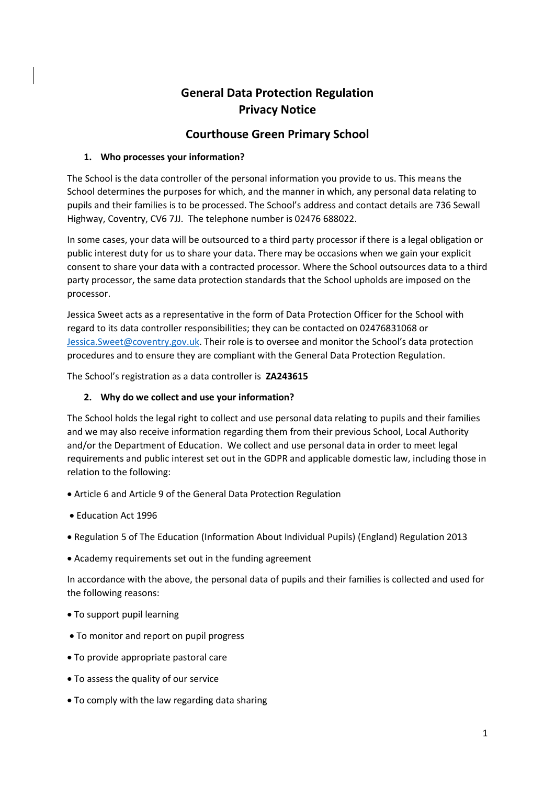# **General Data Protection Regulation Privacy Notice**

## **Courthouse Green Primary School**

## **1. Who processes your information?**

The School is the data controller of the personal information you provide to us. This means the School determines the purposes for which, and the manner in which, any personal data relating to pupils and their families is to be processed. The School's address and contact details are 736 Sewall Highway, Coventry, CV6 7JJ. The telephone number is 02476 688022.

In some cases, your data will be outsourced to a third party processor if there is a legal obligation or public interest duty for us to share your data. There may be occasions when we gain your explicit consent to share your data with a contracted processor. Where the School outsources data to a third party processor, the same data protection standards that the School upholds are imposed on the processor.

Jessica Sweet acts as a representative in the form of Data Protection Officer for the School with regard to its data controller responsibilities; they can be contacted on 02476831068 or [Jessica.Sweet@coventry.gov.uk.](mailto:Jessica.Sweet@coventry.gov.uk) Their role is to oversee and monitor the School's data protection procedures and to ensure they are compliant with the General Data Protection Regulation.

The School's registration as a data controller is **ZA243615**

## **2. Why do we collect and use your information?**

The School holds the legal right to collect and use personal data relating to pupils and their families and we may also receive information regarding them from their previous School, Local Authority and/or the Department of Education. We collect and use personal data in order to meet legal requirements and public interest set out in the GDPR and applicable domestic law, including those in relation to the following:

- Article 6 and Article 9 of the General Data Protection Regulation
- Education Act 1996
- Regulation 5 of The Education (Information About Individual Pupils) (England) Regulation 2013
- Academy requirements set out in the funding agreement

In accordance with the above, the personal data of pupils and their families is collected and used for the following reasons:

- To support pupil learning
- To monitor and report on pupil progress
- To provide appropriate pastoral care
- To assess the quality of our service
- To comply with the law regarding data sharing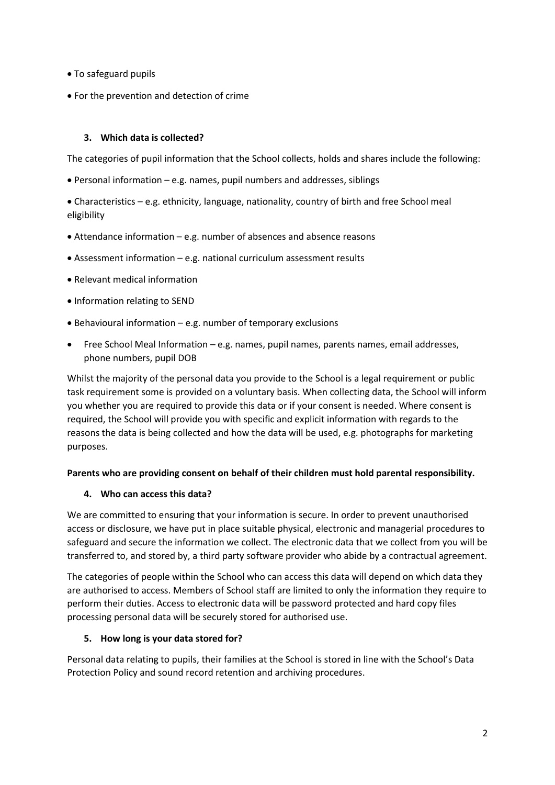- To safeguard pupils
- For the prevention and detection of crime

## **3. Which data is collected?**

The categories of pupil information that the School collects, holds and shares include the following:

• Personal information – e.g. names, pupil numbers and addresses, siblings

• Characteristics – e.g. ethnicity, language, nationality, country of birth and free School meal eligibility

- Attendance information e.g. number of absences and absence reasons
- Assessment information e.g. national curriculum assessment results
- Relevant medical information
- Information relating to SEND
- Behavioural information e.g. number of temporary exclusions
- Free School Meal Information e.g. names, pupil names, parents names, email addresses, phone numbers, pupil DOB

Whilst the majority of the personal data you provide to the School is a legal requirement or public task requirement some is provided on a voluntary basis. When collecting data, the School will inform you whether you are required to provide this data or if your consent is needed. Where consent is required, the School will provide you with specific and explicit information with regards to the reasons the data is being collected and how the data will be used, e.g. photographs for marketing purposes.

#### **Parents who are providing consent on behalf of their children must hold parental responsibility.**

#### **4. Who can access this data?**

We are committed to ensuring that your information is secure. In order to prevent unauthorised access or disclosure, we have put in place suitable physical, electronic and managerial procedures to safeguard and secure the information we collect. The electronic data that we collect from you will be transferred to, and stored by, a third party software provider who abide by a contractual agreement.

The categories of people within the School who can access this data will depend on which data they are authorised to access. Members of School staff are limited to only the information they require to perform their duties. Access to electronic data will be password protected and hard copy files processing personal data will be securely stored for authorised use.

#### **5. How long is your data stored for?**

Personal data relating to pupils, their families at the School is stored in line with the School's Data Protection Policy and sound record retention and archiving procedures.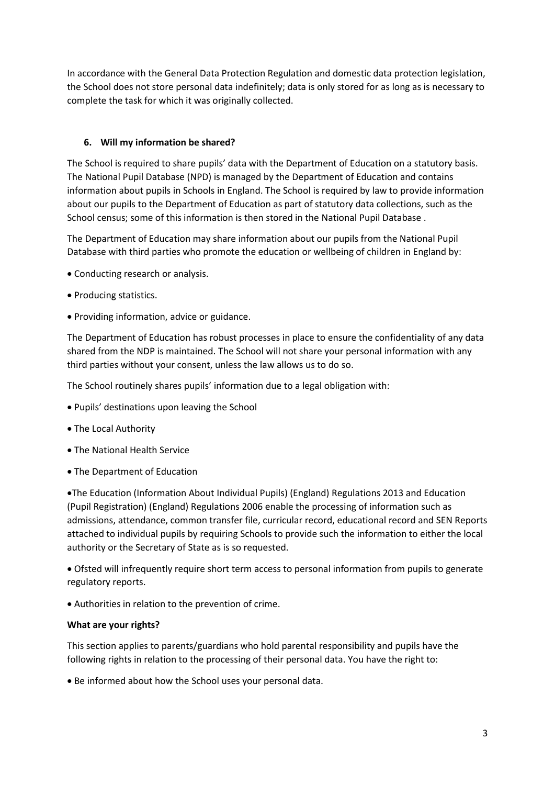In accordance with the General Data Protection Regulation and domestic data protection legislation, the School does not store personal data indefinitely; data is only stored for as long as is necessary to complete the task for which it was originally collected.

## **6. Will my information be shared?**

The School is required to share pupils' data with the Department of Education on a statutory basis. The National Pupil Database (NPD) is managed by the Department of Education and contains information about pupils in Schools in England. The School is required by law to provide information about our pupils to the Department of Education as part of statutory data collections, such as the School census; some of this information is then stored in the National Pupil Database .

The Department of Education may share information about our pupils from the National Pupil Database with third parties who promote the education or wellbeing of children in England by:

- Conducting research or analysis.
- Producing statistics.
- Providing information, advice or guidance.

The Department of Education has robust processes in place to ensure the confidentiality of any data shared from the NDP is maintained. The School will not share your personal information with any third parties without your consent, unless the law allows us to do so.

The School routinely shares pupils' information due to a legal obligation with:

- Pupils' destinations upon leaving the School
- The Local Authority
- The National Health Service
- The Department of Education

•The Education (Information About Individual Pupils) (England) Regulations 2013 and Education (Pupil Registration) (England) Regulations 2006 enable the processing of information such as admissions, attendance, common transfer file, curricular record, educational record and SEN Reports attached to individual pupils by requiring Schools to provide such the information to either the local authority or the Secretary of State as is so requested.

• Ofsted will infrequently require short term access to personal information from pupils to generate regulatory reports.

• Authorities in relation to the prevention of crime.

#### **What are your rights?**

This section applies to parents/guardians who hold parental responsibility and pupils have the following rights in relation to the processing of their personal data. You have the right to:

• Be informed about how the School uses your personal data.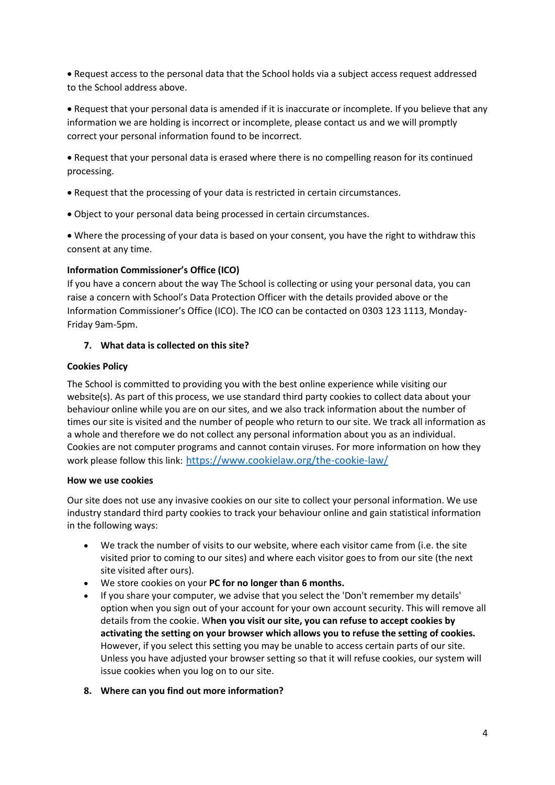• Request access to the personal data that the School holds via a subject access request addressed to the School address above.

• Request that your personal data is amended if it is inaccurate or incomplete. If you believe that any information we are holding is incorrect or incomplete, please contact us and we will promptly correct your personal information found to be incorrect.

• Request that your personal data is erased where there is no compelling reason for its continued processing.

- Request that the processing of your data is restricted in certain circumstances.
- Object to your personal data being processed in certain circumstances.

• Where the processing of your data is based on your consent, you have the right to withdraw this consent at any time.

#### **Information Commissioner's Office (ICO)**

If you have a concern about the way The School is collecting or using your personal data, you can raise a concern with School's Data Protection Officer with the details provided above or the Information Commissioner's Office (ICO). The ICO can be contacted on 0303 123 1113, Monday-Friday 9am-5pm.

#### **7. What data is collected on this site?**

#### **Cookies Policy**

The School is committed to providing you with the best online experience while visiting our website(s). As part of this process, we use standard third party cookies to collect data about your behaviour online while you are on our sites, and we also track information about the number of times our site is visited and the number of people who return to our site. We track all information as a whole and therefore we do not collect any personal information about you as an individual. Cookies are not computer programs and cannot contain viruses. For more information on how they work please follow this link: <https://www.cookielaw.org/the-cookie-law/>

#### **How we use cookies**

Our site does not use any invasive cookies on our site to collect your personal information. We use industry standard third party cookies to track your behaviour online and gain statistical information in the following ways:

- We track the number of visits to our website, where each visitor came from (i.e. the site visited prior to coming to our sites) and where each visitor goes to from our site (the next site visited after ours).
- We store cookies on your **PC for no longer than 6 months.**
- If you share your computer, we advise that you select the 'Don't remember my details' option when you sign out of your account for your own account security. This will remove all details from the cookie. W**hen you visit our site, you can refuse to accept cookies by activating the setting on your browser which allows you to refuse the setting of cookies.**  However, if you select this setting you may be unable to access certain parts of our site. Unless you have adjusted your browser setting so that it will refuse cookies, our system will issue cookies when you log on to our site.
- **8. Where can you find out more information?**